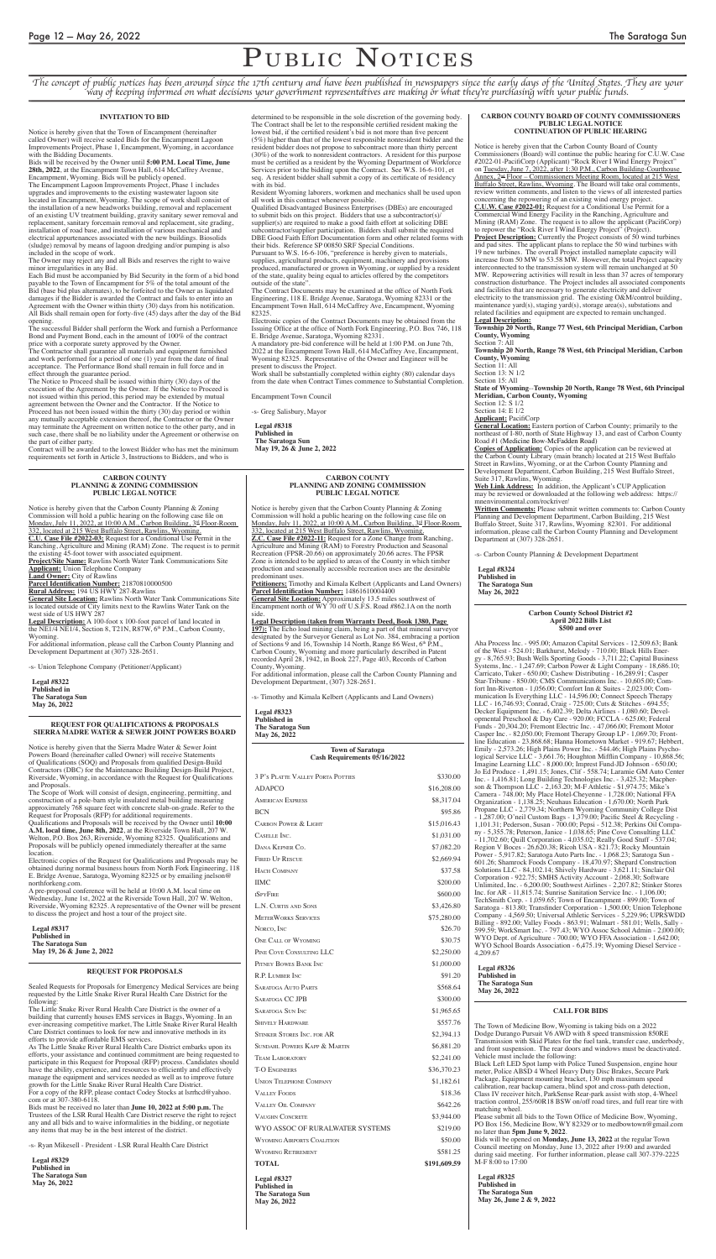# PUBLIC NOTICES

*The concept of public notices has been around since the 17th century and have been published in newspapers since the early days of the United States. They are your way of keeping informed on what decisions your government representatives are making or what they're purchasing with your public funds.*

#### **REQUEST FOR QUALIFICATIONS & PROPOSALS SIERRA MADRE WATER & SEWER JOINT POWERS BOARD**

Notice is hereby given that the Sierra Madre Water & Sewer Joint Powers Board (hereinafter called Owner) will receive Statements of Qualifications (SOQ) and Proposals from qualified Design-Build Contractors (DBC) for the Maintenance Building Design-Build Project, Riverside, Wyoming, in accordance with the Request for Qualifications and Proposals.

The Scope of Work will consist of design, engineering, permitting, and construction of a pole-barn style insulated metal building measuring approximately 768 square feet with concrete slab-on-grade. Refer to the Request for Proposals (RFP) for additional requirements.

Qualifications and Proposals will be received by the Owner until **10:00 A.M. local time, June 8th, 2022**, at the Riverside Town Hall, 207 W. Welton, P.O. Box 263, Riverside, Wyoming 82325. Qualifications and Proposals will be publicly opened immediately thereafter at the same location.

Electronic copies of the Request for Qualifications and Proposals may be obtained during normal business hours from North Fork Engineering, 118 E. Bridge Avenue, Saratoga, Wyoming 82325 or by emailing jnelson@ northforkeng.com.

A pre-proposal conference will be held at 10:00 A.M. local time on Wednesday, June 1st, 2022 at the Riverside Town Hall, 207 W. Welton, Riverside, Wyoming 82325. A representative of the Owner will be present to discuss the project and host a tour of the project site.

**Legal #8317 Published in The Saratoga Sun May 19, 26 & June 2, 2022**

## **INVITATION TO BID**

Notice is hereby given that the Town of Encampment (hereinafter called Owner) will receive sealed Bids for the Encampment Lagoon Improvements Project, Phase 1, Encampment, Wyoming, in accordance with the Bidding Documents.

Bids will be received by the Owner until **5:00 P.M. Local Time, June 28th, 2022**, at the Encampment Town Hall, 614 McCaffrey Avenue, Encampment, Wyoming. Bids will be publicly opened.

The Encampment Lagoon Improvements Project, Phase 1 includes upgrades and improvements to the existing wastewater lagoon site located in Encampment, Wyoming. The scope of work shall consist of the installation of a new headworks building, removal and replacement of an existing UV treatment building, gravity sanitary sewer removal and replacement, sanitary forcemain removal and replacement, site grading, installation of road base, and installation of various mechanical and electrical appurtenances associated with the new buildings. Biosolids (sludge) removal by means of lagoon dredging and/or pumping is also included in the scope of work.

The Owner may reject any and all Bids and reserves the right to waive minor irregularities in any Bid.

Each Bid must be accompanied by Bid Security in the form of a bid bond payable to the Town of Encampment for 5% of the total amount of the Bid (base bid plus alternates), to be forfeited to the Owner as liquidated damages if the Bidder is awarded the Contract and fails to enter into an Agreement with the Owner within thirty (30) days from his notification. All Bids shall remain open for forty-five (45) days after the day of the Bid opening.

The successful Bidder shall perform the Work and furnish a Performance Bond and Payment Bond, each in the amount of 100% of the contract price with a corporate surety approved by the Owner.

The Contractor shall guarantee all materials and equipment furnished and work performed for a period of one (1) year from the date of final acceptance. The Performance Bond shall remain in full force and in effect through the guarantee period.

The Notice to Proceed shall be issued within thirty (30) days of the execution of the Agreement by the Owner. If the Notice to Proceed is not issued within this period, this period may be extended by mutual agreement between the Owner and the Contractor. If the Notice to Proceed has not been issued within the thirty (30) day period or within any mutually acceptable extension thereof, the Contractor or the Owner may terminate the Agreement on written notice to the other party, and in such case, there shall be no liability under the Agreement or otherwise on the part of either party.

Contract will be awarded to the lowest Bidder who has met the minimum requirements set forth in Article 3, Instructions to Bidders, and who is

determined to be responsible in the sole discretion of the governing body. The Contract shall be let to the responsible certified resident making the lowest bid, if the certified resident's bid is not more than five percent (5%) higher than that of the lowest responsible nonresident bidder and the resident bidder does not propose to subcontract more than thirty percent (30%) of the work to nonresident contractors. A resident for this purpose must be certified as a resident by the Wyoming Department of Workforce Services prior to the bidding upon the Contract. See W.S. 16-6-101, et seq. A resident bidder shall submit a copy of its certificate of residency with its bid.

Resident Wyoming laborers, workmen and mechanics shall be used upon all work in this contract whenever possible.

Qualified Disadvantaged Business Enterprises (DBEs) are encouraged to submit bids on this project. Bidders that use a subcontractor(s)/ supplier(s) are required to make a good faith effort at soliciting DBE subcontractor/supplier participation. Bidders shall submit the required DBE Good Faith Effort Documentation form and other related forms with their bids. Reference SP 00850 SRF Special Conditions.

Pursuant to W.S. 16-6-106, "preference is hereby given to materials, supplies, agricultural products, equipment, machinery and provisions produced, manufactured or grown in Wyoming, or supplied by a resident of the state, quality being equal to articles offered by the competitors outside of the state".

The Contract Documents may be examined at the office of North Fork Engineering, 118 E. Bridge Avenue, Saratoga, Wyoming 82331 or the Encampment Town Hall, 614 McCaffrey Ave, Encampment, Wyoming 82325.

Electronic copies of the Contract Documents may be obtained from the Issuing Office at the office of North Fork Engineering, P.O. Box 746, 118 E. Bridge Avenue, Saratoga, Wyoming 82331.

A mandatory pre-bid conference will be held at 1:00 P.M. on June 7th, 2022 at the Encampment Town Hall, 614 McCaffrey Ave, Encampment, Wyoming 82325. Representative of the Owner and Engineer will be present to discuss the Project.

Work shall be substantially completed within eighty (80) calendar days from the date when Contract Times commence to Substantial Completion.

Encampment Town Council

-s- Greg Salisbury, Mayor

**Legal #8318 Published in The Saratoga Sun May 19, 26 & June 2, 2022**

#### **CARBON COUNTY PLANNING & ZONING COMMISSION PUBLIC LEGAL NOTICE**

Notice is hereby given that the Carbon County Planning & Zoning Commission will hold a public hearing on the following case file on Monday, July 11, 2022, at 10:00 A.M., Carbon Building, 3<sup>rd</sup> Floor-Room 332, located at 215 West Buffalo Street, Rawlins, Wyoming. **C.U. Case File #2022-03:** Request for a Conditional Use Permit in the Ranching, Agriculture and Mining (RAM) Zone. The request is to permit the existing 45-foot tower with associated equipment. **Project/Site Name:** Rawlins North Water Tank Communications Site **Applicant:** Union Telephone Company **Land Owner:** City of Rawlins **Parcel Identification Number:** 21870810000500 **Rural Address:** 194 US HWY 287-Rawlins

**General Site Location:** Rawlins North Water Tank Communications Site is located outside of City limits next to the Rawlins Water Tank on the west side of US HWY 287

**Legal Description:** A 100-foot x 100-foot parcel of land located in the NE1/4 NE1/4, Section 8, T21N, R87W, 6<sup>th</sup> P.M., Carbon County, Wyoming.

For additional information, please call the Carbon County Planning and Development Department at (307) 328-2651.

-s- Union Telephone Company (Petitioner/Applicant)

**Legal #8322 Published in The Saratoga Sun May 26, 2022**

#### **CARBON COUNTY PLANNING AND ZONING COMMISSION PUBLIC LEGAL NOTICE**

Notice is hereby given that the Carbon County Planning & Zoning Commission will hold a public hearing on the following case file on Monday, July 11, 2022, at 10:00 A.M., Carbon Building, 3<sup>rd</sup> Floor-Room 332, located at 215 West Buffalo Street, Rawlins, Wyoming. **Z.C. Case File #2022-11:** Request for a Zone Change from Ranching, Agriculture and Mining (RAM) to Forestry Production and Seasonal Recreation (FPSR-20.66) on approximately 20.66 acres. The FPSR Zone is intended to be applied to areas of the County in which timber production and seasonally accessible recreation uses are the desirable predominant uses.

**Petitioners:** Timothy and Kimala Kelbert (Applicants and Land Owners) **Parcel Identification Number:** 14861610004400

**General Site Location:** Approximately 13.5 miles southwest of Encampment north of WY 70 off U.S.F.S. Road #862.1A on the north side.

**Legal Description (taken from Warranty Deed, Book 1380, Page 197):** The Echo load mining claim, being a part of that mineral surveyor designated by the Surveyor General as Lot No. 384, embracing a portion of Sections 9 and 16, Township 14 North, Range 86 West, 6<sup>th</sup> P.M., Carbon County, Wyoming and more particularly described in Patent recorded April 28, 1942, in Book 227, Page 403, Records of Carbon County, Wyoming.

For additional information, please call the Carbon County Planning and Development Department, (307) 328-2651.

-s- Timothy and Kimala Kelbert (Applicants and Land Owners)

### **Legal #8323**

#### **Published in The Saratoga Sun May 26, 2022**

#### **CARBON COUNTY BOARD OF COUNTY COMMISSIONERS PUBLIC LEGAL NOTICE CONTINUATION OF PUBLIC HEARING**

Notice is hereby given that the Carbon County Board of County Commissioners (Board) will continue the public hearing for C.U.W. Case #2022-01-PacifiCorp (Applicant) "Rock River I Wind Energy Project" on Tuesday, June 7, 2022, after 1:30 P.M., Carbon Building-Courthouse Annex, 2nd Floor – Commissioners Meeting Room, located at 215 West Buffalo Street, Rawlins, Wyoming. The Board will take oral comments, review written comments, and listen to the views of all interested parties concerning the repowering of an existing wind energy project. **C.U.W. Case #2022-01:** Request for a Conditional Use Permit for a Commercial Wind Energy Facility in the Ranching, Agriculture and Mining (RAM) Zone. The request is to allow the applicant (PacifiCorp) to repower the "Rock River I Wind Energy Project" (Project). **Project Description:** Currently the Project consists of 50 wind turbines and pad sites. The applicant plans to replace the 50 wind turbines with 19 new turbines. The overall Project installed nameplate capacity will increase from 50 MW to 53.58 MW. However, the total Project capacity interconnected to the transmission system will remain unchanged at 50 MW. Repowering activities will result in less than 37 acres of temporary construction disturbance. The Project includes all associated components and facilities that are necessary to generate electricity and deliver electricity to the transmission grid. The existing O&M/control building, maintenance yard(s), staging yard(s), storage area(s), substations and related facilities and equipment are expected to remain unchanged.

**Legal Description:**

**Township 20 North, Range 77 West, 6th Principal Meridian, Carbon County, Wyoming**

Section 7: All **Township 20 North, Range 78 West, 6th Principal Meridian, Carbon County, Wyoming**

Section 11: All

Section 13: N 1/2

Section 15: All

**State of Wyoming**--**Township 20 North, Range 78 West, 6th Principal Meridian, Carbon County, Wyoming**

Section 12: S 1/2

Section 14: E 1/2 **Applicant:** PacifiCorp

**General Location:** Eastern portion of Carbon County; primarily to the northeast of I-80, north of State Highway 13, and east of Carbon County Road #1 (Medicine Bow-McFadden Road)

**Copies of Application:** Copies of the application can be reviewed at the Carbon County Library (main branch) located at 215 West Buffalo Street in Rawlins, Wyoming, or at the Carbon County Planning and Development Department, Carbon Building, 215 West Buffalo Street, Suite 317, Rawlins, Wyoming.

**Web Link Address:** In addition, the Applicant's CUP Application may be reviewed or downloaded at the following web address: https:// mnenvironmental.com/rockriver/

**Written Comments:** Please submit written comments to: Carbon County Planning and Development Department, Carbon Building, 215 West Buffalo Street, Suite 317, Rawlins, Wyoming 82301. For additional information, please call the Carbon County Planning and Development Department at (307) 328-2651.

-s- Carbon County Planning & Development Department

**Legal #8324 Published in The Saratoga Sun May 26, 2022**

#### **CALL FOR BIDS**

The Town of Medicine Bow, Wyoming is taking bids on a 2022 Dodge Durango Pursuit V6 AWD with 8 speed transmission 850RE Transmission with Skid Plates for the fuel tank, transfer case, underbody, and front suspension. The rear doors and windows must be deactivated. Vehicle must include the following: Black Left LED Spot lamp with Police Tuned Suspension, engine hour meter, Police ABSD 4 Wheel Heavy Duty Disc Brakes, Secure Park Package, Equipment mounting bracket, 130 mph maximum speed calibration, rear backup camera, blind spot and cross-path detection, Class IV receiver hitch, ParkSense Rear-park assist with stop, 4-Wheel traction control, 255/60R18 BSW on/off road tires, and full rear tire with matching wheel. Please submit all bids to the Town Office of Medicine Bow, Wyoming, PO Box 156, Medicine Bow, WY 82329 or to medbowtown@gmail.com no later than **5pm June 9, 2022**. Bids will be opened on **Monday, June 13, 2022** at the regular Town Council meeting on Monday, June 13, 2022 after 19:00 and awarded during said meeting. For further information, please call 307-379-2225 M-F 8:00 to 17:00 **Legal #8325**

**Published in The Saratoga Sun May 26, June 2 & 9, 2022**

#### **Carbon County School District #2 April 2022 Bills List \$500 and over**

Aha Process Inc. - 995.00; Amazon Capital Services - 12,509.63; Bank of the West - 524.01; Barkhurst, Melody - 710.00; Black Hills Energy - 8,765.93; Bush Wells Sporting Goods - 3,711.22; Capital Business Systems, Inc. - 1,247.69; Carbon Power & Light Company - 18,686.10; Carricato, Tuker - 650.00; Cashew Distributing - 16,289.91; Casper Star-Tribune - 850.00; CMS Communications Inc. - 10,605.00; Comfort Inn-Riverton - 1,056.00; Comfort Inn & Suites - 2,023.00; Communication Is Everything LLC - 14,596.00; Connect Speech Therapy LLC - 16,746.93; Conrad, Craig - 725.00; Cuts & Stitches - 694.55; Decker Equipment Inc. - 6,402.39; Delta Airlines - 1,080.60; Developmental Preschool & Day Care - 920.00; FCCLA - 625.00; Federal Funds - 20,304.20; Fremont Electric Inc. - 47,066.00; Fremont Motor Casper Inc. - 82,050.00; Fremont Therapy Group LP - 1,069.70; Frontline Education - 23,868.68; Hanna Hometown Market - 919.67; Hebbert, Emily - 2,573.26; High Plains Power Inc. - 544.46; High Plains Psychological Service LLC - 3,661.76; Houghton Mifflin Company - 10,868.56; Imagine Learning LLC - 8,000.00; Imprest Fund-JD Johnson - 650.00; Jo Ed Produce - 1,491.15; Jones, Clif - 558.74; Laramie GM Auto Center Inc. - 1,416.81; Long Building Technologies Inc. - 3,425.32; Macpherson & Thompson LLC - 2,163.20; M-F Athletic - \$1,974.75; Mike's Camera - 748.00; My Place Hotel-Cheyenne - 1,728.00; National FFA Organization - 1,138.25; Neuhaus Education - 1,670.00; North Park Propane LLC - 2,779.34; Northern Wyoming Community College Dist - 1,287.00; O'neil Custom Bags - 1,379.00; Pacific Steel & Recycling - 1,101.31; Pederson, Susan - 700.00; Pepsi - 512.38; Perkins Oil Company - 5,355.78; Peterson, Janice - 1,038.65; Pine Cove Consulting LLC - 11,702.60; Quill Corporation - 4,035.02; Really Good Stuff - 537.04; Region V Boces - 26,620.38; Ricoh USA - 821.73; Rocky Mountain Power - 5,917.82; Saratoga Auto Parts Inc. - 1,068.23; Saratoga Sun - 601.26; Shamrock Foods Company - 18,470.97; Shepard Construction Solutions LLC - 84,102.14; Shively Hardware - 3,621.11; Sinclair Oil Corporation - 922.75; SMHS Activity Account - 2,068.30; Software Unlimited, Inc. - 6,200.00; Southwest Airlines - 2,207.82; Stinker Stores Inc. for AR - 11,815.74; Sunrise Sanitation Service Inc. - 1,106.00; TechSmith Corp. - 1,059.65; Town of Encampment - 899.00; Town of Saratoga - 813.80; Transfinder Corporation - 1,500.00; Union Telephone Company - 4,569.50; Universal Athletic Services - 5,229.96; UPRSWDD Billing - 892.00; Valley Foods - 863.91; Walmart - 581.01; Wells, Sally - 599.59; WorkSmart Inc. - 797.43; WYO Assoc School Admin - 2,000.00; WYO Dept. of Agriculture - 700.00; WYO FFA Association - 1,642.00; WYO School Boards Association - 6,475.19; Wyoming Diesel Service - 4,209.67

### **Legal #8326 Published in The Saratoga Sun May 26, 2022**

#### **Town of Saratoga Cash Requirements 05/16/2022**

| <b>3 P's PLATTE VALLEY PORTA POTTIES</b>                                             | \$330.00     |
|--------------------------------------------------------------------------------------|--------------|
| <b>ADAPCO</b>                                                                        | \$16,208.00  |
| <b>AMERICAN EXPRESS</b>                                                              | \$8,317.04   |
| <b>BCN</b>                                                                           | \$95.86      |
| <b>CARBON POWER &amp; LIGHT</b>                                                      | \$15,016.43  |
| CASELLE INC.                                                                         | \$1,031.00   |
| DANA KEPNER CO.                                                                      | \$7,082.20   |
| <b>FIRED UP RESCUE</b>                                                               | \$2,669.94   |
| <b>HACH COMPANY</b>                                                                  | \$37.58      |
| <b>IIMC</b>                                                                          | \$200.00     |
| <b>ISPYFIRE</b>                                                                      | \$600.00     |
| L.N. CURTIS AND SONS                                                                 | \$3,426.80   |
| <b>METERWORKS SERVICES</b>                                                           | \$75,280.00  |
| NORCO, INC                                                                           | \$26.70      |
| <b>ONE CALL OF WYOMING</b>                                                           | \$30.75      |
| PINE COVE CONSULTING LLC                                                             | \$2,250.00   |
| PITNEY BOWES BANK INC                                                                | \$1,000.00   |
| R.P. LUMBER INC                                                                      | \$91.20      |
| <b>SARATOGA AUTO PARTS</b>                                                           | \$568.64     |
| <b>SARATOGA CC JPB</b>                                                               | \$300.00     |
| SARATOGA SUN INC                                                                     | \$1,965.65   |
| <b>SHIVELY HARDWARE</b>                                                              | \$557.76     |
| <b>STINKER STORES INC. FOR AR</b>                                                    | \$2,394.13   |
| SUNDAHL POWERS KAPP & MARTIN                                                         | \$6,881.20   |
| <b>TEAM LABORATORY</b>                                                               | \$2,241.00   |
| <b>T-O ENGINEERS</b>                                                                 | \$36,370.23  |
| <b>UNION TELEPHONE COMPANY</b>                                                       | \$1,182.61   |
| <b>VALLEY FOODS</b>                                                                  | \$18.36      |
| <b>VALLEY OIL COMPANY</b>                                                            | \$642.26     |
| <b>VAUGHN CONCRETE</b>                                                               | \$3,944.00   |
| WYO ASSOC OF RURALWATER SYSTEMS                                                      | \$219.00     |
| <b>WYOMING AIRPORTS COALITION</b>                                                    | \$50.00      |
| <b>WYOMING RETIREMENT</b>                                                            | \$581.25     |
| TOTAL                                                                                | \$191,609.59 |
| <b>Legal #8327</b><br><b>Published in</b><br><b>The Saratoga Sun</b><br>May 26, 2022 |              |

#### **REQUEST FOR PROPOSALS**

Sealed Requests for Proposals for Emergency Medical Services are being requested by the Little Snake River Rural Health Care District for the following:

The Little Snake River Rural Health Care District is the owner of a building that currently houses EMS services in Baggs, Wyoming. In an ever-increasing competitive market, The Little Snake River Rural Health Care District continues to look for new and innovative methods in its efforts to provide affordable EMS services.

As The Little Snake River Rural Health Care District embarks upon its efforts, your assistance and continued commitment are being requested to participate in this Request for Proposal (RFP) process. Candidates should have the ability, experience, and resources to efficiently and effectively manage the equipment and services needed as well as to improve future growth for the Little Snake River Rural Health Care District.

For a copy of the RFP, please contact Codey Stocks at lsrrhcd@yahoo. com or at 307-380-6118.

Bids must be received no later than **June 10, 2022 at 5:00 p.m.** The Trustees of the LSR Rural Health Care District reserve the right to reject any and all bids and to waive informalities in the bidding, or negotiate any items that may be in the best interest of the district.

-s- Ryan Mikesell - President - LSR Rural Health Care District

**Legal #8329 Published in The Saratoga Sun May 26, 2022**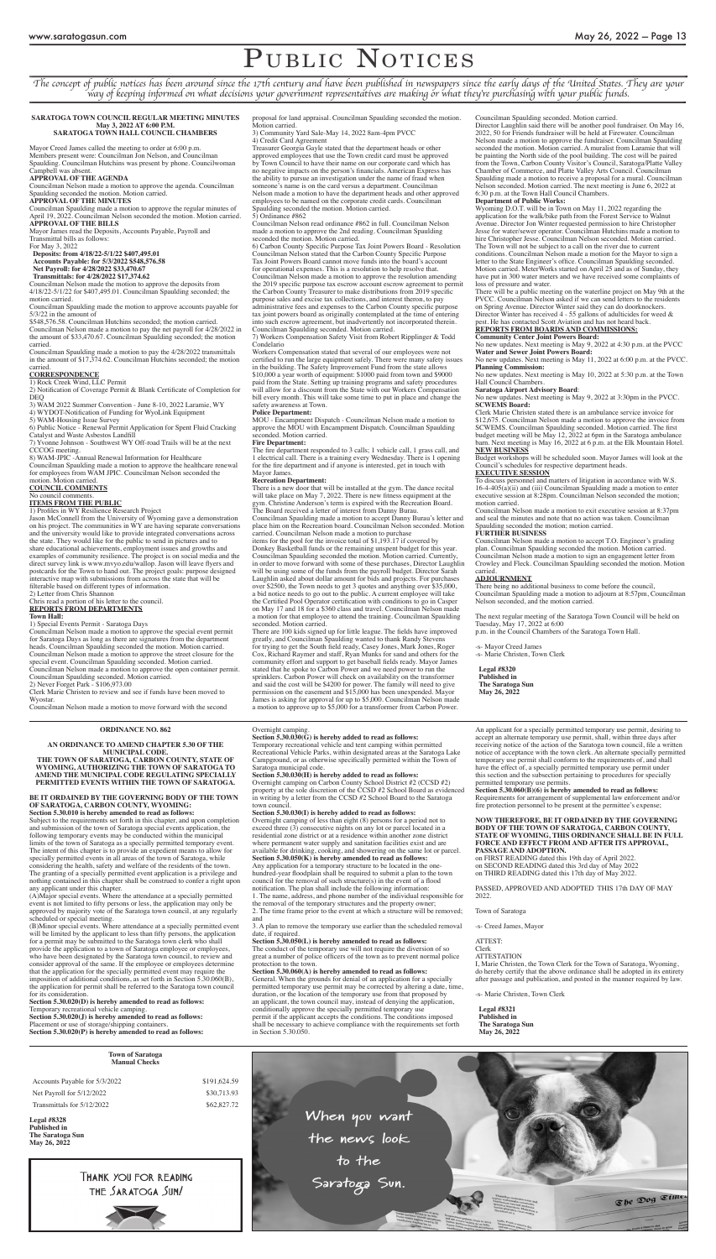# PUBLIC NOTICES

*The concept of public notices has been around since the 17th century and have been published in newspapers since the early days of the United States. They are your way of keeping informed on what decisions your government representatives are making or what they're purchasing with your public funds.*

#### **SARATOGA TOWN COUNCIL REGULAR MEETING MINUTES May 3, 2022 AT 6:00 P.M. SARATOGA TOWN HALL COUNCIL CHAMBERS**

Mayor Creed James called the meeting to order at 6:00 p.m. Members present were: Councilman Jon Nelson, and Councilman Spaulding. Councilman Hutchins was present by phone. Councilwoman Campbell was absent.

#### **APPROVAL OF THE AGENDA**

Councilman Nelson made a motion to approve the agenda. Councilman Spaulding seconded the motion. Motion carried. **APPROVAL OF THE MINUTES**

Councilman Spaulding made a motion to approve the regular minutes of April 19, 2022. Councilman Nelson seconded the motion. Motion carried. **APPROVAL OF THE BILLS**

Mayor James read the Deposits, Accounts Payable, Payroll and Transmittal bills as follows:

For May 3, 2022

**Deposits: from 4/18/22-5/1/22 \$407,495.01 Accounts Payable: for 5/3/2022 \$548,576.58 Net Payroll: for 4/28/2022 \$33,470.67**

# **Transmittals: for 4/28/2022 \$17,374.62**

Councilman Nelson made the motion to approve the deposits from 4/18/22-5/1/22 for \$407,495.01. Councilman Spaulding seconded; the motion carried.

Councilman Spaulding made the motion to approve accounts payable for 5/3/22 in the amount of

\$548,576.58. Councilman Hutchins seconded; the motion carried.

Councilman Nelson made a motion to pay the net payroll for 4/28/2022 in the amount of \$33,470.67. Councilman Spaulding seconded; the motion carried.

Councilman Spaulding made a motion to pay the 4/28/2022 transmittals in the amount of \$17,374.62. Councilman Hutchins seconded; the motion carried.

#### **CORRESPONDENCE**

1) Rock Creek Wind, LLC Permit

2) Notification of Coverage Permit & Blank Certificate of Completion for DEQ

3) WAM 2022 Summer Convention - June 8-10, 2022 Laramie, WY

4) WYDOT-Notification of Funding for WyoLink Equipment

5) WAM-Housing Issue Survey

6) Public Notice - Renewal Permit Application for Spent Fluid Cracking Catalyst and Waste Asbestos Landfill

7) Yvonne Johnson - Southwest WY Off-road Trails will be at the next CCCOG meeting.

8) WAM-JPIC -Annual Renewal Information for Healthcare

Councilman Spaulding made a motion to approve the healthcare renewal for employees from WAM JPIC. Councilman Nelson seconded the motion. Motion carried.

#### **COUNCIL COMMENTS**

# No council comments.

**ITEMS FROM THE PUBLIC**

1) Profiles in WY Resilience Research Project

Jason McConnell from the University of Wyoming gave a demonstration on his project. The communities in WY are having separate conversations and the university would like to provide integrated conversations across the state. They would like for the public to send in pictures and to share educational achievements, employment issues and growths and examples of community resilience. The project is on social media and the direct survey link is www.mvyo.edu/wallop. Jason will leave flyers and postcards for the Town to hand out. The project goals: purpose designed interactive map with submissions from across the state that will be filterable based on different types of information.

2) Letter from Chris Shannon

Chris read a portion of his letter to the council. **REPORTS FROM DEPARTMENTS**

#### **Town Hall:**

1) Special Events Permit - Saratoga Days

Councilman Nelson made a motion to approve the special event permit for Saratoga Days as long as there are signatures from the department heads. Councilman Spaulding seconded the motion. Motion carried. Councilman Nelson made a motion to approve the street closure for the special event. Councilman Spaulding seconded. Motion carried. Councilman Nelson made a motion to approve the open container permit. Councilman Spaulding seconded. Motion carried.

2) Never Forget Park - \$106,973.00

Clerk Marie Christen to review and see if funds have been moved to Wyostar.

Councilman Nelson made a motion to move forward with the second

proposal for land appraisal. Councilman Spaulding seconded the motion. Motion carried.

3) Community Yard Sale-May 14, 2022 8am-4pm PVCC 4) Credit Card Agreement

Treasurer Georgia Gayle stated that the department heads or other approved employees that use the Town credit card must be approved by Town Council to have their name on our corporate card which has no negative impacts on the person's financials. American Express has the ability to pursue an investigation under the name of fraud when someone's name is on the card versus a department. Councilman Nelson made a motion to have the department heads and other approved employees to be named on the corporate credit cards. Councilman Spaulding seconded the motion. Motion carried. 5) Ordinance #862

Councilman Nelson read ordinance #862 in full. Councilman Nelson made a motion to approve the 2nd reading. Councilman Spaulding seconded the motion. Motion carried.

6) Carbon County Specific Purpose Tax Joint Powers Board - Resolution Councilman Nelson stated that the Carbon County Specific Purpose Tax Joint Powers Board cannot move funds into the board's account for operational expenses. This is a resolution to help resolve that. Councilman Nelson made a motion to approve the resolution amending the 2019 specific purpose tax escrow account escrow agreement to permit the Carbon County Treasurer to make distributions from 2019 specific purpose sales and excise tax collections, and interest theron, to pay administrative fees and expenses to the Carbon County specific purpose tax joint powers board as originally contemplated at the time of entering into such escrow agreement, but inadvertently not incorporated therein. Councilman Spaulding seconded. Motion carried.

7) Workers Compensation Safety Visit from Robert Ripplinger & Todd Condelario

Workers Compensation stated that several of our employees were not certified to run the large equipment safely. There were many safety issues in the building. The Safety Improvement Fund from the state allows \$10,000 a year worth of equipment: \$1000 paid from town and \$9000 paid from the State. Setting up training programs and safety procedures will allow for a discount from the State with our Workers Compensation bill every month. This will take some time to put in place and change the safety awareness at Town.

#### **Police Department:**

MOU - Encampment Dispatch - Councilman Nelson made a motion to approve the MOU with Encampment Dispatch. Councilman Spaulding seconded. Motion carried.

#### **Fire Department:**

The fire department responded to 3 calls; 1 vehicle call, 1 grass call, and 1 electrical call. There is a training every Wednesday. There is 1 opening for the fire department and if anyone is interested, get in touch with Mayor James.

#### **Recreation Department:**

There is a new door that will be installed at the gym. The dance recital will take place on May 7, 2022. There is new fitness equipment at the gym. Christine Anderson's term is expired with the Recreation Board. The Board received a letter of interest from Danny Burau. Councilman Spaulding made a motion to accept Danny Burau's letter and place him on the Recreation board. Councilman Nelson seconded. Motion carried. Councilman Nelson made a motion to purchase items for the pool for the invoice total of \$1,193.17 if covered by Donkey Basketball funds or the remaining unspent budget for this year. Councilman Spaulding seconded the motion. Motion carried. Currently, in order to move forward with some of these purchases, Director Laughlin will be using some of the funds from the payroll budget. Director Sarah Laughlin asked about dollar amount for bids and projects. For purchases over \$2500, the Town needs to get 3 quotes and anything over \$35,000, a bid notice needs to go out to the public. A current employee will take the Certified Pool Operator certification with conditions to go in Casper on May 17 and 18 for a \$360 class and travel. Councilman Nelson made a motion for that employee to attend the training. Councilman Spaulding seconded. Motion carried.

There are 100 kids signed up for little league. The fields have improved greatly, and Councilman Spaulding wanted to thank Randy Stevens for trying to get the South field ready, Casey Jones, Mark Jones, Roger Cox, Richard Raymer and staff, Ryan Munks for sand and others for the community effort and support to get baseball fields ready. Mayor James stated that he spoke to Carbon Power and we need power to run the sprinklers. Carbon Power will check on availability on the transformer and said the cost will be \$4200 for power. The family will need to give permission on the easement and \$15,000 has been unexpended. Mayor James is asking for approval for up to \$5,000. Councilman Nelson made a motion to approve up to \$5,000 for a transformer from Carbon Power.

Councilman Spaulding seconded. Motion carried.

Section 5.30.060(B)(6) is hereby amended to read as follows: Requirements for arrangement of supplemental law enforcement and/or fire protection personnel to be present at the permittee's expense;

Director Laughlin said there will be another pool fundraiser. On May 16, 2022, 50 for Friends fundraiser will be held at Firewater. Councilman Nelson made a motion to approve the fundraiser. Councilman Spaulding seconded the motion. Motion carried. A muralist from Laramie that will be painting the North side of the pool building. The cost will be paired from the Town, Carbon County Visitor's Council, Saratoga/Platte Valley Chamber of Commerce, and Platte Valley Arts Council. Councilman Spaulding made a motion to receive a proposal for a mural. Councilman Nelson seconded. Motion carried. The next meeting is June 6, 2022 at 6:30 p.m. at the Town Hall Council Chambers.

Clerk **ATTESTATION** 

# **Department of Public Works:**

Wyoming D.O.T. will be in Town on May 11, 2022 regarding the application for the walk/bike path from the Forest Service to Walnut Avenue. Director Jon Winter requested permission to hire Christopher Jesse for water/sewer operator. Councilman Hutchins made a motion to hire Christopher Jesse. Councilman Nelson seconded. Motion carried. The Town will not be subject to a call on the river due to current conditions. Councilman Nelson made a motion for the Mayor to sign a letter to the State Engineer's office. Councilman Spaulding seconded. Motion carried. MeterWorks started on April 25 and as of Sunday, they have put in 300 water meters and we have received some complaints of loss of pressure and water.

There will be a public meeting on the waterline project on May 9th at the PVCC. Councilman Nelson asked if we can send letters to the residents on Spring Avenue. Director Winter said they can do doorknockers. Director Winter has received 4 - 55 gallons of adulticides for weed & pest. He has contacted Scott Aviation and has not heard back. **REPORTS FROM BOARDS AND COMMISSIONS:**

# **Community Center Joint Powers Board:**

No new updates. Next meeting is May 9, 2022 at 4:30 p.m. at the PVCC **Water and Sewer Joint Powers Board:** 

No new updates. Next meeting is May 11, 2022 at 6:00 p.m. at the PVCC. **Planning Commission:** 

No new updates. Next meeting is May 10, 2022 at 5:30 p.m. at the Town Hall Council Chambers.

### **Saratoga Airport Advisory Board**:

No new updates. Next meeting is May 9, 2022 at 3:30pm in the PVCC. **SCWEMS Board:**

Clerk Marie Christen stated there is an ambulance service invoice for \$12,675. Councilman Nelson made a motion to approve the invoice from SCWEMS. Councilman Spaulding seconded. Motion carried. The first budget meeting will be May 12, 2022 at 6pm in the Saratoga ambulance barn. Next meeting is May 16, 2022 at 6 p.m. at the Elk Mountain Hotel. **NEW BUSINESS**

Budget workshops will be scheduled soon. Mayor James will look at the Council's schedules for respective department heads.

# **EXECUTIVE SESSION**

To discuss personnel and matters of litigation in accordance with W.S. 16-4-405(a)(ii) and (iii) Councilman Spaulding made a motion to enter executive session at 8:28pm. Councilman Nelson seconded the motion; motion carried.

Councilman Nelson made a motion to exit executive session at 8:37pm and seal the minutes and note that no action was taken. Councilman Spaulding seconded the motion; motion carried.

#### **FURTHER BUSINESS**

Councilman Nelson made a motion to accept T.O. Engineer's grading plan. Councilman Spaulding seconded the motion. Motion carried. Councilman Nelson made a motion to sign an engagement letter from Crowley and Fleck. Councilman Spaulding seconded the motion. Motion carried.

# **ADJOURNMENT**

There being no additional business to come before the council, Councilman Spaulding made a motion to adjourn at 8:57pm, Councilman Nelson seconded, and the motion carried.

The next regular meeting of the Saratoga Town Council will be held on Tuesday, May 17, 2022 at 6:00

p.m. in the Council Chambers of the Saratoga Town Hall.

-s- Mayor Creed James

-s- Marie Christen, Town Clerk

**Legal #8320 Published in The Saratoga Sun May 26, 2022**

#### **ORDINANCE NO. 862**

#### **AN ORDINANCE TO AMEND CHAPTER 5.30 OF THE MUNICIPAL CODE. THE TOWN OF SARATOGA, CARBON COUNTY, STATE OF WYOMING, AUTHORIZING THE TOWN OF SARATOGA TO AMEND THE MUNICIPAL CODE REGULATING SPECIALLY PERMITTED EVENTS WITHIN THE TOWN OF SARATOGA.**

#### **BE IT ORDAINED BY THE GOVERNING BODY OF THE TOWN OF SARATOGA, CARBON COUNTY, WYOMING: Section 5.30.010 is hereby amended to read as follows:**

Subject to the requirements set forth in this chapter, and upon completion and submission of the town of Saratoga special events application, the following temporary events may be conducted within the municipal limits of the town of Saratoga as a specially permitted temporary event. The intent of this chapter is to provide an expedient means to allow for specially permitted events in all areas of the town of Saratoga, while considering the health, safety and welfare of the residents of the town. The granting of a specially permitted event application is a privilege and nothing contained in this chapter shall be construed to confer a right upon any applicant under this chapter.

(A)Major special events. Where the attendance at a specially permitted event is not limited to fifty persons or less, the application may only be approved by majority vote of the Saratoga town council, at any regularly scheduled or special meeting.

(B)Minor special events. Where attendance at a specially permitted event will be limited by the applicant to less than fifty persons, the application for a permit may be submitted to the Saratoga town clerk who shall provide the application to a town of Saratoga employee or employees, who have been designated by the Saratoga town council, to review and consider approval of the same. If the employee or employees determine that the application for the specially permitted event may require the imposition of additional conditions, as set forth in Section 5.30.060(B), the application for permit shall be referred to the Saratoga town council for its consideration.

**Section 5.30.020(D) is hereby amended to read as follows:** Temporary recreational vehicle camping. **Section 5.30.020(J) is hereby amended to read as follows:**

Placement or use of storage/shipping containers. **Section 5.30.020(P) is hereby amended to read as follows:**

# Overnight camping.

**Section 5.30.030(G) is hereby added to read as follows:**

Temporary recreational vehicle and tent camping within permitted Recreational Vehicle Parks, within designated areas at the Saratoga Lake Campground, or as otherwise specifically permitted within the Town of Saratoga municipal code.

#### **Section 5.30.030(H) is hereby added to read as follows:**

Overnight camping on Carbon County School District #2 (CCSD #2) property at the sole discretion of the CCSD #2 School Board as evidenced in writing by a letter from the CCSD #2 School Board to the Saratoga town council.

#### **Section 5.30.030(I) is hereby added to read as follows:**

Overnight camping of less than eight (8) persons for a period not to exceed three (3) consecutive nights on any lot or parcel located in a residential zone district or at a residence within another zone district where permanent water supply and sanitation facilities exist and are available for drinking, cooking, and showering on the same lot or parcel.

**Section 5.30.050(K) is hereby amended to read as follows:** Any application for a temporary structure to be located in the onehundred-year floodplain shall be required to submit a plan to the town council for the removal of such structure(s) in the event of a flood notification. The plan shall include the following information: 1. The name, address, and phone number of the individual responsible for the removal of the temporary structures and the property owner; 2. The time frame prior to the event at which a structure will be removed;

and

3. A plan to remove the temporary use earlier than the scheduled removal date, if required.

#### **Section 5.30.050(L) is hereby amended to read as follows:**

The conduct of the temporary use will not require the diversion of so great a number of police officers of the town as to prevent normal police protection to the town.

#### **Section 5.30.060(A) is hereby amended to read as follows:**

General. When the grounds for denial of an application for a specially permitted temporary use permit may be corrected by altering a date, time, duration, or the location of the temporary use from that proposed by an applicant, the town council may, instead of denying the application, conditionally approve the specially permitted temporary use permit if the applicant accepts the conditions. The conditions imposed shall be necessary to achieve compliance with the requirements set forth in Section 5.30.050.

An applicant for a specially permitted temporary use permit, desiring to accept an alternate temporary use permit, shall, within three days after receiving notice of the action of the Saratoga town council, file a written notice of acceptance with the town clerk. An alternate specially permitted temporary use permit shall conform to the requirements of, and shall have the effect of, a specially permitted temporary use permit under this section and the subsection pertaining to procedures for specially permitted temporary use permits.

#### **NOW THEREFORE, BE IT ORDAINED BY THE GOVERNING BODY OF THE TOWN OF SARATOGA, CARBON COUNTY, STATE OF WYOMING, THIS ORDINANCE SHALL BE IN FULL FORCE AND EFFECT FROM AND AFTER ITS APPROVAL, PASSAGE AND ADOPTION.**

on FIRST READING dated this 19th day of April 2022. on SECOND READING dated this 3rd day of May 2022 on THIRD READING dated this 17th day of May 2022.

PASSED, APPROVED AND ADOPTED THIS 17th DAY OF MAY 2022.

Town of Saratoga

-s- Creed James, Mayor

ATTEST:

I, Marie Christen, the Town Clerk for the Town of Saratoga, Wyoming, do hereby certify that the above ordinance shall be adopted in its entirety after passage and publication, and posted in the manner required by law.

-s- Marie Christen, Town Clerk

**Legal #8321 Published in The Saratoga Sun May 26, 2022**